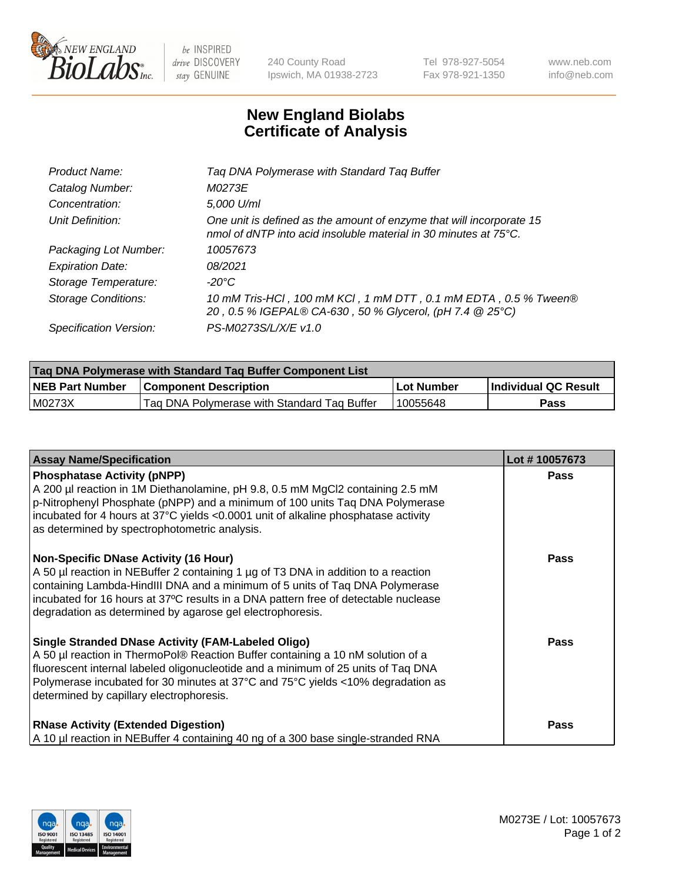

 $be$  INSPIRED drive DISCOVERY stay GENUINE

240 County Road Ipswich, MA 01938-2723 Tel 978-927-5054 Fax 978-921-1350 www.neb.com info@neb.com

## **New England Biolabs Certificate of Analysis**

| Product Name:              | Tag DNA Polymerase with Standard Tag Buffer                                                                                              |
|----------------------------|------------------------------------------------------------------------------------------------------------------------------------------|
| Catalog Number:            | M0273E                                                                                                                                   |
| Concentration:             | 5,000 U/ml                                                                                                                               |
| Unit Definition:           | One unit is defined as the amount of enzyme that will incorporate 15<br>nmol of dNTP into acid insoluble material in 30 minutes at 75°C. |
| Packaging Lot Number:      | 10057673                                                                                                                                 |
| <b>Expiration Date:</b>    | 08/2021                                                                                                                                  |
| Storage Temperature:       | $-20^{\circ}$ C                                                                                                                          |
| <b>Storage Conditions:</b> | 10 mM Tris-HCl, 100 mM KCl, 1 mM DTT, 0.1 mM EDTA, 0.5 % Tween®<br>20, 0.5 % IGEPAL® CA-630, 50 % Glycerol, (pH 7.4 @ 25°C)              |
| Specification Version:     | PS-M0273S/L/X/E v1.0                                                                                                                     |

| Tag DNA Polymerase with Standard Tag Buffer Component List |                                             |              |                      |  |
|------------------------------------------------------------|---------------------------------------------|--------------|----------------------|--|
| <b>NEB Part Number</b>                                     | <b>Component Description</b>                | l Lot Number | Individual QC Result |  |
| M0273X                                                     | Tag DNA Polymerase with Standard Tag Buffer | 10055648     | Pass                 |  |

| <b>Assay Name/Specification</b>                                                                                                                                                                                                                                                                                                                                        | Lot #10057673 |
|------------------------------------------------------------------------------------------------------------------------------------------------------------------------------------------------------------------------------------------------------------------------------------------------------------------------------------------------------------------------|---------------|
| <b>Phosphatase Activity (pNPP)</b><br>A 200 µl reaction in 1M Diethanolamine, pH 9.8, 0.5 mM MgCl2 containing 2.5 mM<br>p-Nitrophenyl Phosphate (pNPP) and a minimum of 100 units Taq DNA Polymerase<br>incubated for 4 hours at 37°C yields <0.0001 unit of alkaline phosphatase activity<br>as determined by spectrophotometric analysis.                            | <b>Pass</b>   |
| <b>Non-Specific DNase Activity (16 Hour)</b><br>A 50 µl reaction in NEBuffer 2 containing 1 µg of T3 DNA in addition to a reaction<br>containing Lambda-HindIII DNA and a minimum of 5 units of Taq DNA Polymerase<br>incubated for 16 hours at 37°C results in a DNA pattern free of detectable nuclease<br>degradation as determined by agarose gel electrophoresis. | <b>Pass</b>   |
| <b>Single Stranded DNase Activity (FAM-Labeled Oligo)</b><br>A 50 µl reaction in ThermoPol® Reaction Buffer containing a 10 nM solution of a<br>fluorescent internal labeled oligonucleotide and a minimum of 25 units of Taq DNA<br>Polymerase incubated for 30 minutes at 37°C and 75°C yields <10% degradation as<br>determined by capillary electrophoresis.       | <b>Pass</b>   |
| <b>RNase Activity (Extended Digestion)</b><br>A 10 µl reaction in NEBuffer 4 containing 40 ng of a 300 base single-stranded RNA                                                                                                                                                                                                                                        | <b>Pass</b>   |